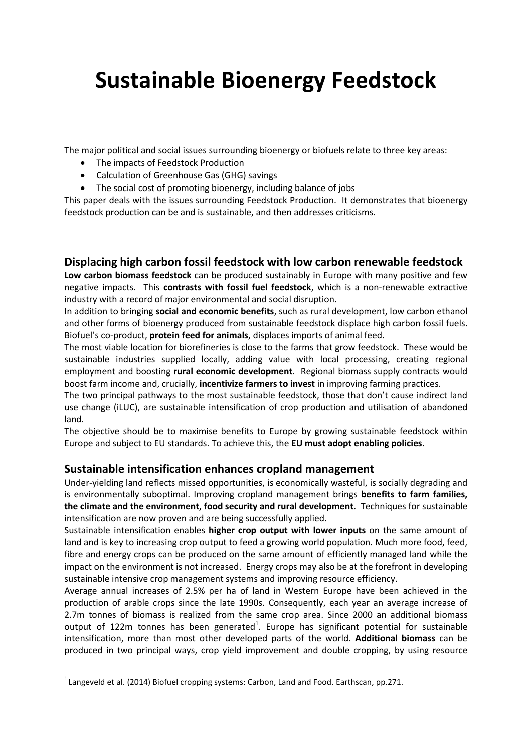# **Sustainable Bioenergy Feedstock**

The major political and social issues surrounding bioenergy or biofuels relate to three key areas:

- The impacts of Feedstock Production
- Calculation of Greenhouse Gas (GHG) savings
- The social cost of promoting bioenergy, including balance of jobs

This paper deals with the issues surrounding Feedstock Production. It demonstrates that bioenergy feedstock production can be and is sustainable, and then addresses criticisms.

# **Displacing high carbon fossil feedstock with low carbon renewable feedstock**

**Low carbon biomass feedstock** can be produced sustainably in Europe with many positive and few negative impacts. This **contrasts with fossil fuel feedstock**, which is a non-renewable extractive industry with a record of major environmental and social disruption.

In addition to bringing **social and economic benefits**, such as rural development, low carbon ethanol and other forms of bioenergy produced from sustainable feedstock displace high carbon fossil fuels. Biofuel's co-product, **protein feed for animals**, displaces imports of animal feed.

The most viable location for biorefineries is close to the farms that grow feedstock. These would be sustainable industries supplied locally, adding value with local processing, creating regional employment and boosting **rural economic development**. Regional biomass supply contracts would boost farm income and, crucially, **incentivize farmers to invest** in improving farming practices.

The two principal pathways to the most sustainable feedstock, those that don't cause indirect land use change (iLUC), are sustainable intensification of crop production and utilisation of abandoned land.

The objective should be to maximise benefits to Europe by growing sustainable feedstock within Europe and subject to EU standards. To achieve this, the **EU must adopt enabling policies**.

# **Sustainable intensification enhances cropland management**

Under-yielding land reflects missed opportunities, is economically wasteful, is socially degrading and is environmentally suboptimal. Improving cropland management brings **benefits to farm families, the climate and the environment, food security and rural development**. Techniques for sustainable intensification are now proven and are being successfully applied.

Sustainable intensification enables **higher crop output with lower inputs** on the same amount of land and is key to increasing crop output to feed a growing world population. Much more food, feed, fibre and energy crops can be produced on the same amount of efficiently managed land while the impact on the environment is not increased. Energy crops may also be at the forefront in developing sustainable intensive crop management systems and improving resource efficiency.

Average annual increases of 2.5% per ha of land in Western Europe have been achieved in the production of arable crops since the late 1990s. Consequently, each year an average increase of 2.7m tonnes of biomass is realized from the same crop area. Since 2000 an additional biomass output of 122m tonnes has been generated<sup>1</sup>. Europe has significant potential for sustainable intensification, more than most other developed parts of the world. **Additional biomass** can be produced in two principal ways, crop yield improvement and double cropping, by using resource

**.** 

 $^{1}$ Langeveld et al. (2014) Biofuel cropping systems: Carbon, Land and Food. Earthscan, pp.271.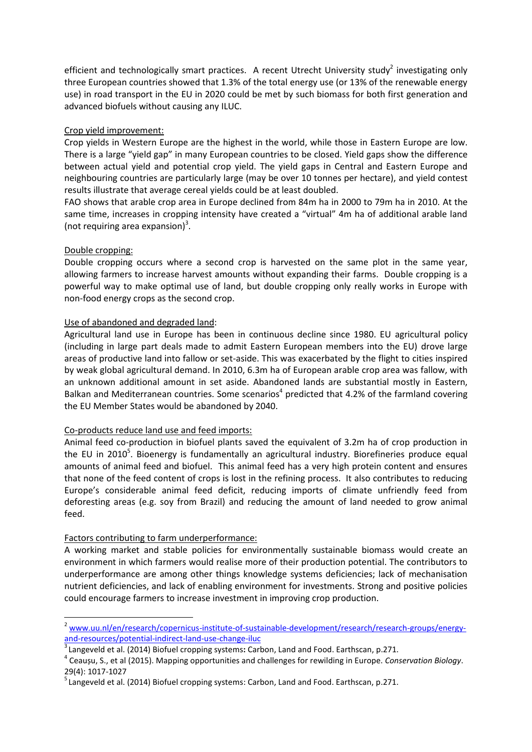efficient and technologically smart practices. A recent Utrecht University study<sup>2</sup> investigating only three European countries showed that 1.3% of the total energy use (or 13% of the renewable energy use) in road transport in the EU in 2020 could be met by such biomass for both first generation and advanced biofuels without causing any ILUC.

## Crop yield improvement:

Crop yields in Western Europe are the highest in the world, while those in Eastern Europe are low. There is a large "yield gap" in many European countries to be closed. Yield gaps show the difference between actual yield and potential crop yield. The yield gaps in Central and Eastern Europe and neighbouring countries are particularly large (may be over 10 tonnes per hectare), and yield contest results illustrate that average cereal yields could be at least doubled.

FAO shows that arable crop area in Europe declined from 84m ha in 2000 to 79m ha in 2010*.* At the same time, increases in cropping intensity have created a "virtual" 4m ha of additional arable land (not requiring area expansion) $3$ .

## Double cropping:

**.** 

Double cropping occurs where a second crop is harvested on the same plot in the same year, allowing farmers to increase harvest amounts without expanding their farms. Double cropping is a powerful way to make optimal use of land, but double cropping only really works in Europe with non-food energy crops as the second crop.

## Use of abandoned and degraded land:

Agricultural land use in Europe has been in continuous decline since 1980. EU agricultural policy (including in large part deals made to admit Eastern European members into the EU) drove large areas of productive land into fallow or set-aside. This was exacerbated by the flight to cities inspired by weak global agricultural demand. In 2010, 6.3m ha of European arable crop area was fallow, with an unknown additional amount in set aside. Abandoned lands are substantial mostly in Eastern, Balkan and Mediterranean countries. Some scenarios<sup>4</sup> predicted that 4.2% of the farmland covering the EU Member States would be abandoned by 2040.

#### Co-products reduce land use and feed imports:

Animal feed co-production in biofuel plants saved the equivalent of 3.2m ha of crop production in the EU in 2010<sup>5</sup>. Bioenergy is fundamentally an agricultural industry. Biorefineries produce equal amounts of animal feed and biofuel. This animal feed has a very high protein content and ensures that none of the feed content of crops is lost in the refining process. It also contributes to reducing Europe's considerable animal feed deficit, reducing imports of climate unfriendly feed from deforesting areas (e.g. soy from Brazil) and reducing the amount of land needed to grow animal feed.

# Factors contributing to farm underperformance:

A working market and stable policies for environmentally sustainable biomass would create an environment in which farmers would realise more of their production potential. The contributors to underperformance are among other things knowledge systems deficiencies; lack of mechanisation nutrient deficiencies, and lack of enabling environment for investments. Strong and positive policies could encourage farmers to increase investment in improving crop production.

<sup>&</sup>lt;sup>2</sup> [www.uu.nl/en/research/copernicus-institute-of-sustainable-development/research/research-groups/energy](http://www.uu.nl/en/research/copernicus-institute-of-sustainable-development/research/research-groups/energy-and-resources/potential-indirect-land-use-change-iluc)[and-resources/potential-indirect-land-use-change-iluc](http://www.uu.nl/en/research/copernicus-institute-of-sustainable-development/research/research-groups/energy-and-resources/potential-indirect-land-use-change-iluc)

<sup>3</sup> Langeveld et al. (2014) Biofuel cropping systems**:** Carbon, Land and Food. Earthscan, p.271.

<sup>4</sup> Ceaușu, S., et al (2015). Mapping opportunities and challenges for rewilding in Europe. *Conservation Biology*. 29(4): 1017-1027

<sup>&</sup>lt;sup>5</sup> Langeveld et al. (2014) Biofuel cropping systems: Carbon, Land and Food. Earthscan, p.271.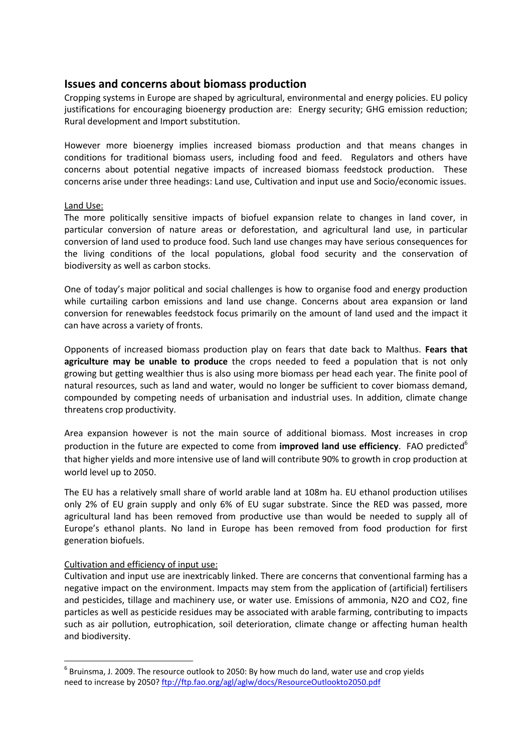# **Issues and concerns about biomass production**

Cropping systems in Europe are shaped by agricultural, environmental and energy policies. EU policy justifications for encouraging bioenergy production are: Energy security; GHG emission reduction; Rural development and Import substitution.

However more bioenergy implies increased biomass production and that means changes in conditions for traditional biomass users, including food and feed. Regulators and others have concerns about potential negative impacts of increased biomass feedstock production. These concerns arise under three headings: Land use, Cultivation and input use and Socio/economic issues.

## Land Use:

The more politically sensitive impacts of biofuel expansion relate to changes in land cover, in particular conversion of nature areas or deforestation, and agricultural land use, in particular conversion of land used to produce food. Such land use changes may have serious consequences for the living conditions of the local populations, global food security and the conservation of biodiversity as well as carbon stocks.

One of today's major political and social challenges is how to organise food and energy production while curtailing carbon emissions and land use change. Concerns about area expansion or land conversion for renewables feedstock focus primarily on the amount of land used and the impact it can have across a variety of fronts.

Opponents of increased biomass production play on fears that date back to Malthus. **Fears that agriculture may be unable to produce** the crops needed to feed a population that is not only growing but getting wealthier thus is also using more biomass per head each year. The finite pool of natural resources, such as land and water, would no longer be sufficient to cover biomass demand, compounded by competing needs of urbanisation and industrial uses. In addition, climate change threatens crop productivity.

Area expansion however is not the main source of additional biomass. Most increases in crop production in the future are expected to come from **improved land use efficiency**. FAO predicted<sup>6</sup> that higher yields and more intensive use of land will contribute 90% to growth in crop production at world level up to 2050.

The EU has a relatively small share of world arable land at 108m ha. EU ethanol production utilises only 2% of EU grain supply and only 6% of EU sugar substrate. Since the RED was passed, more agricultural land has been removed from productive use than would be needed to supply all of Europe's ethanol plants. No land in Europe has been removed from food production for first generation biofuels.

# Cultivation and efficiency of input use:

**.** 

Cultivation and input use are inextricably linked. There are concerns that conventional farming has a negative impact on the environment. Impacts may stem from the application of (artificial) fertilisers and pesticides, tillage and machinery use, or water use. Emissions of ammonia, N2O and CO2, fine particles as well as pesticide residues may be associated with arable farming, contributing to impacts such as air pollution, eutrophication, soil deterioration, climate change or affecting human health and biodiversity.

 $<sup>6</sup>$  Bruinsma, J. 2009. The resource outlook to 2050: By how much do land, water use and crop yields</sup> need to increase by 2050?<ftp://ftp.fao.org/agl/aglw/docs/ResourceOutlookto2050.pdf>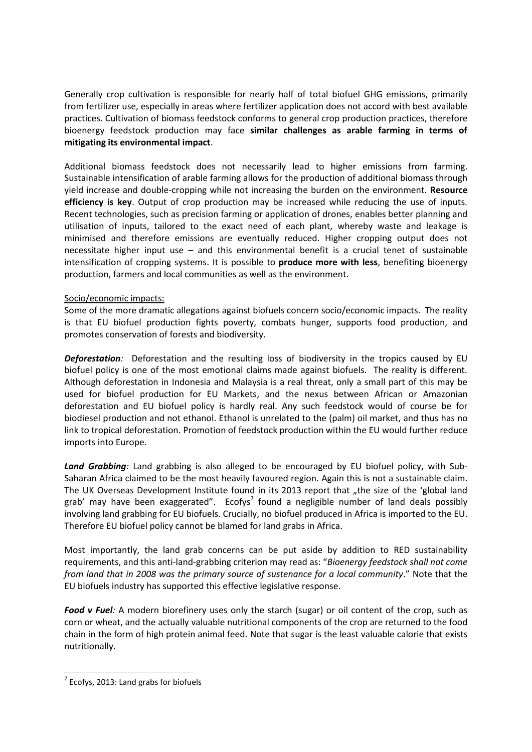Generally crop cultivation is responsible for nearly half of total biofuel GHG emissions, primarily from fertilizer use, especially in areas where fertilizer application does not accord with best available practices. Cultivation of biomass feedstock conforms to general crop production practices, therefore bioenergy feedstock production may face **similar challenges as arable farming in terms of mitigating its environmental impact**.

Additional biomass feedstock does not necessarily lead to higher emissions from farming. Sustainable intensification of arable farming allows for the production of additional biomass through yield increase and double-cropping while not increasing the burden on the environment. **Resource efficiency is key**. Output of crop production may be increased while reducing the use of inputs. Recent technologies, such as precision farming or application of drones, enables better planning and utilisation of inputs, tailored to the exact need of each plant, whereby waste and leakage is minimised and therefore emissions are eventually reduced. Higher cropping output does not necessitate higher input use – and this environmental benefit is a crucial tenet of sustainable intensification of cropping systems. It is possible to **produce more with less**, benefiting bioenergy production, farmers and local communities as well as the environment.

# Socio/economic impacts:

Some of the more dramatic allegations against biofuels concern socio/economic impacts. The reality is that EU biofuel production fights poverty, combats hunger, supports food production, and promotes conservation of forests and biodiversity.

**Deforestation**: Deforestation and the resulting loss of biodiversity in the tropics caused by EU biofuel policy is one of the most emotional claims made against biofuels. The reality is different. Although deforestation in Indonesia and Malaysia is a real threat, only a small part of this may be used for biofuel production for EU Markets, and the nexus between African or Amazonian deforestation and EU biofuel policy is hardly real. Any such feedstock would of course be for biodiesel production and not ethanol. Ethanol is unrelated to the (palm) oil market, and thus has no link to tropical deforestation. Promotion of feedstock production within the EU would further reduce imports into Europe.

*Land Grabbing:* Land grabbing is also alleged to be encouraged by EU biofuel policy, with Sub-Saharan Africa claimed to be the most heavily favoured region. Again this is not a sustainable claim. The UK Overseas Development Institute found in its 2013 report that "the size of the 'global land grab' may have been exaggerated". Ecofys<sup>7</sup> found a negligible number of land deals possibly involving land grabbing for EU biofuels. Crucially, no biofuel produced in Africa is imported to the EU. Therefore EU biofuel policy cannot be blamed for land grabs in Africa.

Most importantly, the land grab concerns can be put aside by addition to RED sustainability requirements, and this anti-land-grabbing criterion may read as: "*Bioenergy feedstock shall not come from land that in 2008 was the primary source of sustenance for a local community*." Note that the EU biofuels industry has supported this effective legislative response.

*Food v Fuel:* A modern biorefinery uses only the starch (sugar) or oil content of the crop, such as corn or wheat, and the actually valuable nutritional components of the crop are returned to the food chain in the form of high protein animal feed. Note that sugar is the least valuable calorie that exists nutritionally.

**.** 

 $<sup>7</sup>$  Ecofys, 2013: Land grabs for biofuels</sup>